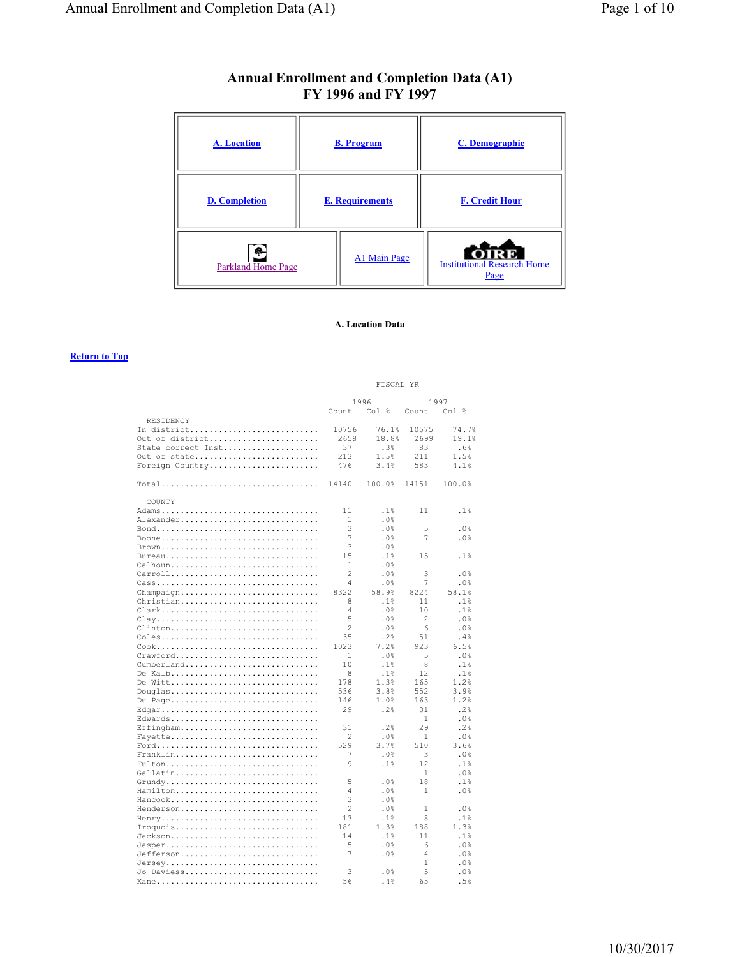# **Annual Enrollment and Completion Data (A1) FY 1996 and FY 1997**

| <b>A.</b> Location                         |                        | <b>B.</b> Program | <b>C.</b> Demographic                      |
|--------------------------------------------|------------------------|-------------------|--------------------------------------------|
| <b>D.</b> Completion                       | <b>E. Requirements</b> |                   | <b>F. Credit Hour</b>                      |
| $\ddot{\phantom{a}}$<br>Parkland Home Page |                        | A1 Main Page      | <b>Institutional Research Home</b><br>Page |

### **A. Location Data**

|                    | FISCAL YR      |                  |                |        |
|--------------------|----------------|------------------|----------------|--------|
|                    | 1996           |                  |                | 1997   |
| RESIDENCY          | Count          | Col <sub>8</sub> | Count          | Col %  |
| In district        | 10756          | 76.1%            | 10575          | 74.7%  |
| Out of district    | 2658           | 18.8%            | 2699           | 19.1%  |
| State correct Inst | 37             | .3%              | 83             | .6%    |
| Out of state       | 213            | 1.5%             | 211            | 1.5%   |
| Foreign Country    | 476            | 3.4%             | 583            | 4.1%   |
| $Total$            | 14140          | 100.0%           | 14151          | 100.0% |
| COUNTY             |                |                  |                |        |
| Adams              | 11             | .1%              | 11             | .1%    |
| Alexander          | 1              | .0%              |                |        |
|                    | 3              | .0%              | 5              | .0%    |
| Boone              | 7              | .0%              | 7              | .0%    |
| Brown              | 3              | .0%              |                |        |
| Bureau             | 15             | .1%              | 15             | .1%    |
| $Calpha$           | 1              | .0%              |                |        |
| Carroll            | 2              | .0%              | 3              | .0%    |
|                    | 4              | .0%              | 7              | .0%    |
| Champaign          | 8322           | 58.9%            | 8224           | 58.1%  |
| Christian          | 8              | .1%              | 11             | .1%    |
| Clark              | 4              | .0%              | 10             | .1%    |
| Clay               | 5              | .0%              | $\mathfrak{D}$ | .0%    |
| $Clienton$         | $\overline{c}$ | .0%              | 6              | .0%    |
| Coles              | 35             | .2%              | 51             | .4%    |
|                    | 1023           | 7.2%             | 923            | 6.5%   |
| Crawford           | 1              | .0%              | 5              | .0%    |
| Cumberland         | 10             | .1%              | 8              | .1%    |
| De Kalb            | 8              | .1%              | 12             | .1%    |
| De Witt            | 178            | 1.3%             | 165            | 1.2%   |
| Douglas            | 536            | 3.8%             | 552            | 3.9%   |
| Du Page            | 146            | 1.0%             | 163            | 1.2%   |
| Edgar              | 29             | .2%              | 31             | .2%    |
| Edwards            |                |                  | 1              | .0%    |
| Effingham          | 31             | .2%              | 29             | .2%    |
| Fayette            | 2              | .0%              | 1              | .0%    |
|                    | 529            | 3.7%             | 510            | 3.6%   |
| $Franklin.$        | 7              | .0%              | 3              | .0%    |
| Fulton             | 9              | .1%              | 12             | .1%    |
| Gallatin           |                |                  | 1              | .0%    |
|                    | 5              | .0%              | 18             | .1%    |
| Hamilton           | 4              | .0%              | 1              | .0%    |
| Hancock            | 3              | .0%              |                |        |
| Henderson          | $\overline{c}$ | .0%              | 1              | .0%    |
| Henry              | 13             | .1%              | 8              | .1%    |
| Iroquois           | 181            | 1.3%             | 188            | 1.3%   |
| Jackson            | 14             | .1%              | 11             | .1%    |
| Jasper             | 5              | .0%              | 6              | .0%    |
| Jefferson          | 7              | .0%              | $\overline{4}$ | .0%    |
| Jersey             |                |                  | $\mathbf{1}$   | .0%    |
| Jo Daviess         | 3              | .0%              | 5              | .0%    |
| Kane               | 56             | .4%              | 65             | .5%    |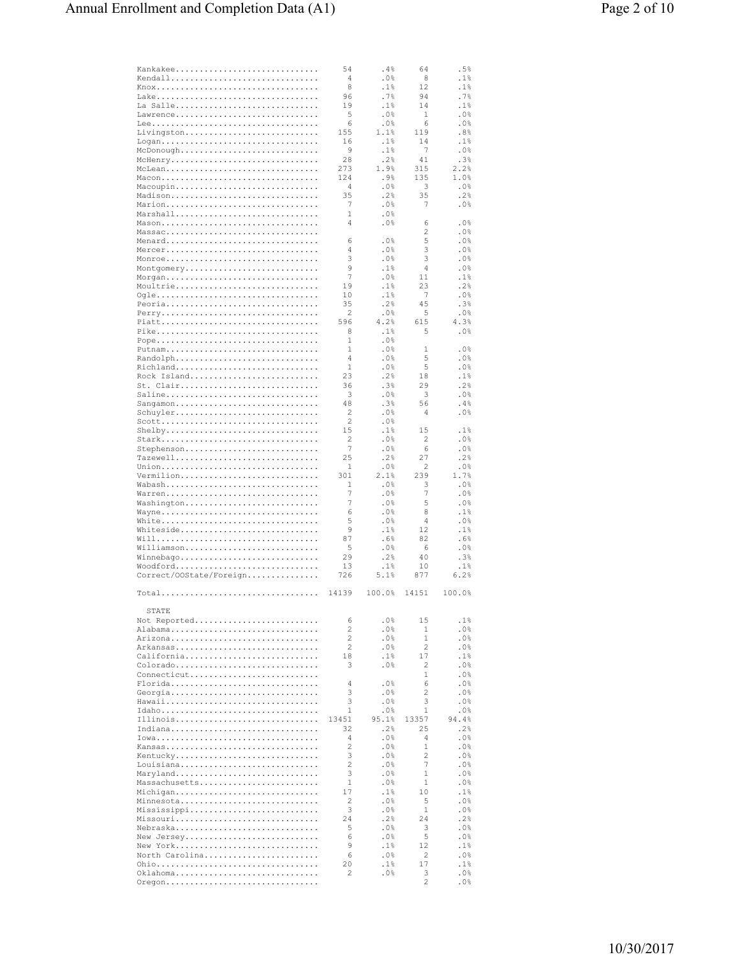| Kankakee                | 54             | . 4%    | 64    | .5%     |
|-------------------------|----------------|---------|-------|---------|
| Kendall                 | 4              | .0%     | 8     | .1%     |
|                         |                |         |       |         |
|                         | 8              | .1%     | 12    | .1%     |
|                         | 96             | .7%     | 94    | .7%     |
|                         |                |         |       |         |
| La Salle                | 19             | .1%     | 14    | .1%     |
| Lawrence                | 5              | .0%     | 1     | .0%     |
|                         |                |         |       |         |
|                         | 6              | .0%     | 6     | .0%     |
| Livingston              | 155            | 1.1%    | 119   | .8%     |
|                         |                |         |       |         |
| Logan                   | 16             | .1%     | 14    | .1%     |
| McDonough               | 9              | .1%     | 7     | .0%     |
|                         |                |         |       |         |
| McHenry                 | 28             | .2%     | 41    | .3%     |
| McLean                  | 273            | 1.9%    | 315   | 2.2%    |
|                         |                |         |       |         |
| Macon                   | 124            | .9%     | 135   | 1.0%    |
| Macoupin                | 4              | .0%     | 3     | .0%     |
| Madison                 | 35             | .2%     | 35    | .2%     |
|                         |                |         |       |         |
| Marion                  | 7              | $.0\%$  | 7     | .0%     |
| Marshall                | 1              | .0%     |       |         |
|                         |                |         |       |         |
| Mason                   | 4              | .0%     | 6     | .0%     |
| Massac                  |                |         | 2     | $.0\%$  |
|                         | 6              | .0%     |       | .0%     |
| Menard                  |                |         | 5     |         |
| Mercer                  | 4              | .0%     | 3     | .0%     |
| Monroe                  | 3              | .0%     | 3     | .0%     |
|                         |                |         |       |         |
| Montgomery              | 9              | .1%     | 4     | .0%     |
| Morgan                  | 7              | .0%     | 11    | .1%     |
|                         |                |         |       |         |
| Moultrie                | 19             | .1%     | 23    | .2%     |
| Ogle                    | 10             | .1%     | 7     | .0%     |
|                         |                | .2%     | 45    | .3%     |
| Peoria                  | 35             |         |       |         |
| Perry                   | 2              | .0%     | 5     | .0%     |
| Piatt                   | 596            | 4.2%    | 615   | 4.3%    |
|                         |                |         |       |         |
| Pike                    | 8              | .1%     | 5     | .0%     |
| Pope                    | 1              | .0%     |       |         |
|                         |                |         |       |         |
| Putnam                  | 1              | . $0\%$ | 1     | .0%     |
| Randolph                | 4              | .0%     | 5     | .0%     |
| Richland                | 1              | .0%     | 5     | .0%     |
|                         |                |         |       |         |
| Rock Island             | 23             | .2%     | 18    | .1%     |
| St. Clair               | 36             | .3%     | 29    | .2%     |
|                         |                |         |       |         |
| Saline                  | 3              | .0%     | 3     | .0%     |
| Sangamon                | 48             | .3%     | 56    | .4%     |
|                         |                |         |       |         |
| Schuyler                | 2              | .0%     | 4     | .0%     |
| Scott                   | $\overline{c}$ | . $0\%$ |       |         |
|                         | 15             |         | 15    |         |
| $Shelby$                |                | .1%     |       | .1%     |
| Stark                   | 2              | .0%     | 2     | .0%     |
| Stephenson              | 7              | .0%     | 6     | .0%     |
|                         |                |         |       |         |
| Tazewell                | 25             | .2%     | 27    | .2%     |
|                         | 1              | .0%     | 2     | .0%     |
|                         |                |         |       |         |
|                         |                |         |       |         |
| Vermilion               | 301            | 2.1%    | 239   | 1.7%    |
|                         |                |         |       |         |
| Wabash                  | 1              | . 0%    | 3     | .0%     |
| Warren                  | 7              | .0%     | 7     | .0%     |
|                         | 7              |         |       |         |
| Washington              |                | .0%     | 5     | .0%     |
| Wayne                   | 6              | .0%     | 8     | .1%     |
| White                   | 5              | .0%     | 4     | .0%     |
|                         |                |         |       |         |
| Whiteside               | 9              | .1%     | 12    | .1%     |
|                         | 87             | .6%     | 82    | .6%     |
|                         |                |         |       |         |
| Williamson              | 5              | .0%     | 6     | .0%     |
| Winnebago               | 29             | .2%     | 40    | .3%     |
| Woodford                | 13             | .1%     | 10    | .1%     |
|                         |                |         |       |         |
| Correct/00State/Foreign | 726            | 5.1%    | 877   | 6.2%    |
|                         |                |         |       |         |
| Total                   | 14139          | 100.0%  | 14151 | 100.0%  |
|                         |                |         |       |         |
| STATE                   |                |         |       |         |
|                         | 6              |         | 15    |         |
| Not Reported            |                | .0%     |       | .1%     |
| Alabama                 | 2              | .0%     | 1     | .0%     |
| Arizona                 | 2              | .0%     | 1     | .0%     |
|                         |                |         |       |         |
| Arkansas                | 2              | . 0%    | 2     | . 0%    |
| California              | 18             | .1%     | 17    | .1%     |
|                         |                |         |       |         |
| Colorado                | 3              | . 0%    | 2     | .0%     |
| Connecticut             |                |         | 1     | .0%     |
| Florida                 | 4              | . 0%    | 6     | . 0%    |
|                         |                |         |       |         |
| Georgia                 | 3              | .0%     | 2     | . 0%    |
| Hawaii                  | 3              | .0%     | 3     | . 0%    |
| Idaho                   | 1              | .0%     | 1     | .0%     |
|                         |                |         |       |         |
| Illinois                | 13451          | 95.1%   | 13357 | 94.4%   |
| Indiana                 | 32             | .2%     | 25    | .2%     |
|                         |                |         |       |         |
|                         | 4              | . 0%    | 4     | .0%     |
| Kansas                  | 2              | .0%     | 1     | .0%     |
| Kentucky                | 3              | .0%     | 2     | .0%     |
|                         |                |         |       |         |
| Louisiana               | 2              | .0%     | 7     | .0%     |
| Maryland                | 3              | .0%     | 1     | .0%     |
|                         |                |         |       |         |
| Massachusetts           | 1              | .0%     | 1     | .0%     |
| Michigan                | 17             | .1%     | 10    | .1%     |
| Minnesota               | 2              | .0%     | 5     | . $0\%$ |
|                         |                |         |       |         |
| Mississippi             | 3              | .0%     | 1     | .0%     |
| Missouri                | 24             | .2%     | 24    | .2%     |
|                         |                |         |       |         |
| Nebraska                | 5              | .0%     | 3     | .0%     |
| New Jersey              | 6              | .0%     | 5     | .0%     |
| New York                | 9              | .1%     | 12    | .1%     |
|                         |                |         |       |         |
| North Carolina          | 6              | .0%     | 2     | . $0\%$ |
|                         | 20             | .1%     | 17    | .1%     |
| Oklahoma                | 2              |         | 3     | . 0%    |
| Oregon                  |                | .0%     | 2     | $.0\%$  |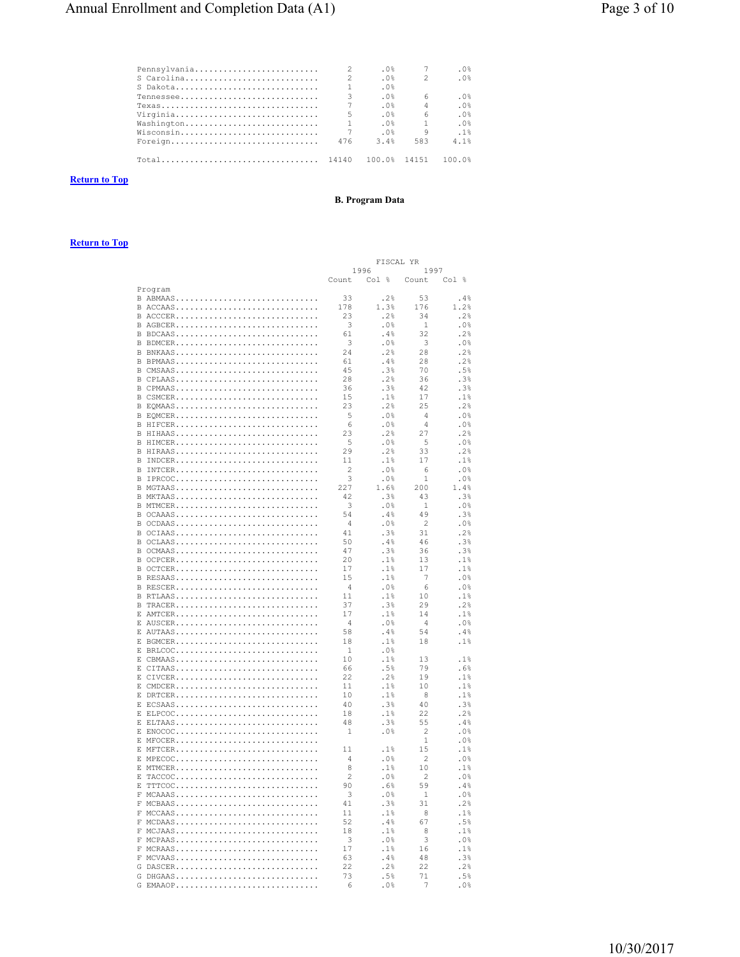| Pennsylvania |                | .0%          |                | . 0%      |
|--------------|----------------|--------------|----------------|-----------|
|              | $\mathfrak{D}$ | .0%          | $\mathcal{P}$  | .0%       |
| S Dakota     | 1              | .0%          |                |           |
| $T$ ennessee | 3              | .0%          | 6              | .0%       |
| $T$ exas     |                | .0%          | $\overline{4}$ | .0%       |
| Virginia     | 5              | .0%          | $\kappa$       | .0%       |
| Washington   |                | .0%          | $\overline{1}$ | .0%       |
| Wisconsin    | 7              | .0%          | q              | .1%       |
| Foreign      | 476            | 3.4%         | 583            | $4 - 1$ % |
|              |                | 100.0% 14151 |                | 100 0%    |

# **Return to Top**

# **B.** Program Data

|            | FISCAL<br>ΥR   |         |                |         |
|------------|----------------|---------|----------------|---------|
|            | 1996           |         | 1997           |         |
|            | Count          | Col %   | Count          | Col %   |
| Program    |                |         |                |         |
| B ABMAAS   | 33             | .2%     | 53             | . $4\%$ |
| B ACCAAS   | 178            | 1.3%    | 176            | 1.2%    |
| B ACCCER   | 23             | .2%     | 34             | .2%     |
| B AGBCER   | 3              | .0%     | 1              | .0%     |
| B BDCAAS   | 61             | .4%     | 32             | .2%     |
| B BDMCER   | 3              | .0%     | 3              | .0%     |
|            | 2.4            | .2%     | 28             | .2%     |
| B BNKAAS   |                |         |                |         |
| B BPMAAS   | 61             | .4%     | 28             | .2%     |
| B CMSAAS   | 45             | .3%     | 70             | .5%     |
| B CPLAAS   | 28             | .2%     | 36             | .3%     |
| B CPMAAS   | 36             | .3%     | 42             | .3%     |
| B CSMCER   | 15             | .1%     | 17             | .1%     |
| B EQMAAS   | 23             | . $2\%$ | 25             | .2%     |
| B EQMCER   | 5              | .0%     | $\overline{4}$ | .0%     |
| B HIFCER   | 6              | .0%     | $\overline{4}$ | .0%     |
| B HIHAAS   | 23             | .2%     | 27             | .2%     |
| B HIMCER   | 5              | .0%     | 5              | .0%     |
| B HIRAAS   | 29             | .2%     | 33             | .2%     |
| B INDCER   | 11             | .1%     | 17             | .1%     |
| B INTCER   | $\overline{c}$ | . $0\%$ | 6              | .0%     |
| B IPRCOC   | 3              | $.0\%$  | $1\,$          | .0%     |
| B MGTAAS   | 227            | 1.6%    | 200            | 1.4%    |
|            | 42             |         |                |         |
| B MKTAAS   |                | .3%     | 43             | .3%     |
| B MTMCER   | 3              | .0%     | $1\,$          | .0%     |
| B OCAAAS   | 54             | .4%     | 49             | .3%     |
| B OCDAAS   | $\overline{4}$ | .0%     | 2              | .0%     |
| B OCIAAS   | 41             | .3%     | 31             | .2%     |
| B OCLAAS   | 50             | .4%     | 46             | .3%     |
| B OCMAAS   | 47             | .3%     | 36             | .3%     |
| B OCPCER   | 20             | .1%     | 13             | .1%     |
| B OCTCER   | 17             | .1%     | 17             | .1%     |
| B RESAAS   | 15             | .1%     | 7              | .0%     |
| B RESCER   | $\overline{4}$ | .0%     | 6              | .0%     |
| B RTLAAS   | 11             | .1%     | 10             | .1%     |
| B TRACER   | 37             | .3%     | 29             | .2%     |
| E AMTCER   | 17             | .1%     | 14             | .1%     |
|            | 4              | .0%     | $\overline{4}$ |         |
| E AUSCER   |                |         |                | .0%     |
| E AUTAAS   | 58             | .4%     | 54             | .4%     |
| E BGMCER   | 18             | .1%     | 18             | . $1\%$ |
| E BRLCOC   | 1              | .0%     |                |         |
| E CBMAAS   | 10             | .1%     | 13             | .1%     |
| E CITAAS   | 66             | .5%     | 79             | .6%     |
| E CIVCER   | 22             | .2%     | 19             | .1%     |
| E CMDCER   | 11             | .1%     | 10             | .1%     |
| E DRTCER   | 10             | .1%     | 8              | .1%     |
| E ECSAAS   | 40             | .3%     | 40             | .3%     |
| E ELPCOC   | 18             | .1%     | 22             | .2%     |
| E ELTAAS   | 48             | .3%     | 55             | .4%     |
| E ENOCOC   | $\mathbf{1}$   | .0%     | $\overline{c}$ | .0%     |
| E MFOCER   |                |         | 1              | .0%     |
| E MFTCER   | 11             | .1%     | 15             | .1%     |
| E MPECOC   | $\Delta$       | .0%     | $\overline{c}$ | . $0\%$ |
|            | 8              |         |                |         |
| E MTMCER   |                | .1%     | 10             | .1%     |
| E TACCOC   | $\overline{2}$ | .0%     | $\overline{2}$ | .0%     |
| E TTTCOC   | 90             | .6%     | 59             | .4%     |
| $F$ MCAAAS | 3              | .0%     | $\mathbf{1}$   | .0%     |
| F MCBAAS   | 41             | .3%     | 31             | .2%     |
| $F$ MCCAAS | 11             | .1%     | 8              | .1%     |
| F MCDAAS   | 52             | .4%     | 67             | .5%     |
| F MCJAAS   | 18             | .1%     | 8              | .1%     |
| F MCPAAS   | 3              | .0%     | 3              | .0%     |
| $F$ MCRAAS | 17             | .1%     | 16             | .1%     |
| F MCVAAS   | 63             | .4%     | 48             | .3%     |
| G DASCER   | 22             | .2%     | 22             | .2%     |
| G DHGAAS   | 73             | .5%     | 71             | .5%     |
| G EMAAOP   | 6              | .0%     | -7             | .0%     |
|            |                |         |                |         |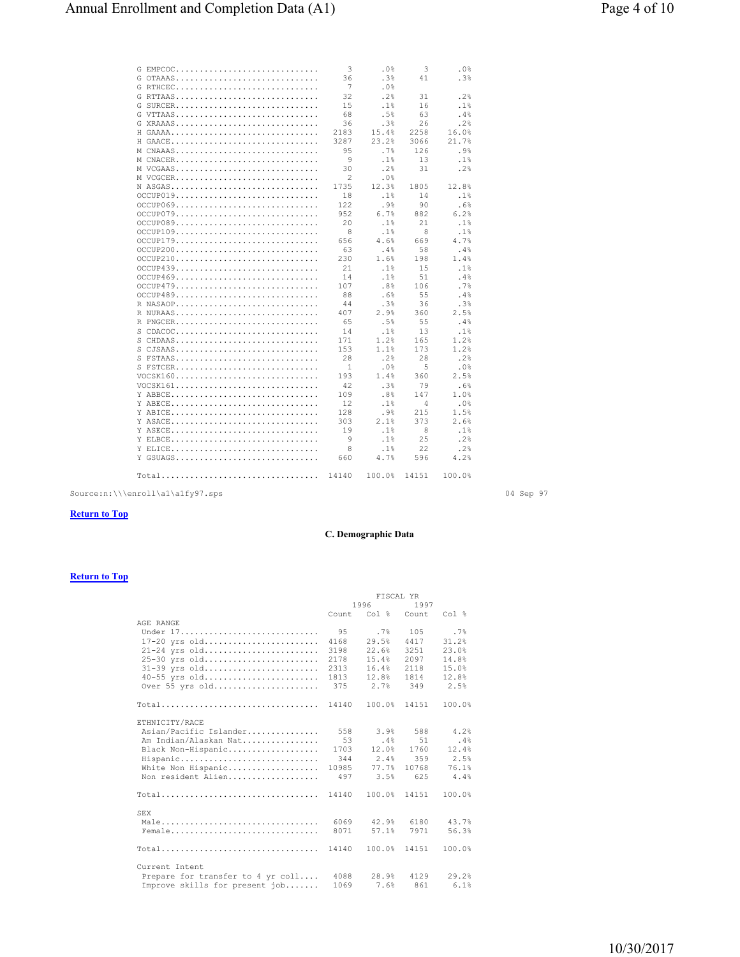| G EMPCOC   | 3              | .0%    | 3              | .0%    |
|------------|----------------|--------|----------------|--------|
| G OTAAAS   | 36             | .3%    | 41             | .3%    |
| G RTHCEC   | 7              | .0%    |                |        |
| G RTTAAS   | 32             | .2%    | 31             | .2%    |
| G SURCER   | 15             | .1%    | 16             | .1%    |
| G VTTAAS   | 68             | .5%    | 63             | .4%    |
| G XRAAAS   | 36             | .3%    | 26             | .2%    |
| H GAAAA    | 2183           | 15.4%  | 2258           | 16.0%  |
| H GAACE    | 3287           | 23.2%  | 3066           | 21.7%  |
| M CNAAAS   | 9.5            | .7%    | 126            | .9%    |
| M CNACER   | 9              | .1%    | 13             | .1%    |
| M VCGAAS   | 30             | .2%    | 31             | .2%    |
| M VCGCER   | $\overline{c}$ | .0%    |                |        |
| N ASGAS    | 1735           | 12.3%  | 1805           | 12.8%  |
| OCCUP019   | 18             | .1%    | 14             | .1%    |
| OCCUP069   | 122            | .9%    | 90             | .6%    |
| OCCUP079   | 952            | 6.7%   | 882            | 6.2%   |
| OCCUP089   | 20             | .1%    | 21             | .1%    |
| OCCUP109   | 8              | .1%    | 8              | .1%    |
|            | 656            | 4.6%   | 669            | 4.7%   |
| OCCUP179   |                |        |                |        |
| OCCUP200   | 63             | .4%    | 58             | .4%    |
| OCCUP210   | 230            | 1.6%   | 198            | 1.4%   |
| OCCUP439   | 21             | .1%    | 15             | .1%    |
| OCCUP469   | 14             | .1%    | 51             | .4%    |
| OCCUP479   | 107            | .8%    | 106            | .7%    |
| OCCUP489   | 88             | .6%    | 55             | .4%    |
| R NASAOP   | 44             | .3%    | 36             | .3%    |
| R NURAAS   | 407            | 2.9%   | 360            | 2.5%   |
| R PNGCER   | 65             | .5%    | 55             | .4%    |
| S CDACOC   | 14             | .1%    | 13             | .1%    |
| S CHDAAS   | 171            | 1.2%   | 165            | 1.2%   |
| $S$ CJSAAS | 153            | 1.1%   | 173            | 1.2%   |
| S FSTAAS   | 28             | .2%    | 28             | .2%    |
| S FSTCER   | 1              | .0%    | 5              | .0%    |
| VOCSK160   | 193            | 1.4%   | 360            | 2.5%   |
| VOCSK161   | 42             | .3%    | 79             | .6%    |
|            | 109            | .8%    | 147            | 1.0%   |
| Y ARECE    | 12             | .1%    | $\overline{4}$ | .0%    |
| Y ABICE    | 128            | .9%    | 215            | 1.5%   |
| Y ASACE    | 303            | 2.1%   | 373            | 2.6%   |
| Y ASECE    | 19             | .1%    | 8              | .1%    |
| Y ELBCE    | 9              | .1%    | 25             | .2%    |
| Y ELICE    | 8              | .1%    | 22             | .2%    |
| Y GSUAGS   | 660            | 4.7%   | 596            | 4.2%   |
|            |                |        |                |        |
| Total      | 14140          | 100.0% | 14151          | 100.0% |

 $\texttt{Source-in:\\\\enroll\{a1\q1\q27.\,sps}\text{\hspace{0.5cm}} \textbf{04 \hspace{0.5cm} \text{Sep 97}}$ 

### **Return to Top**

## **C. Demographic Data**

|                                   | FISCAL YR    |                       |              |        |  |
|-----------------------------------|--------------|-----------------------|--------------|--------|--|
|                                   | 1996<br>1997 |                       |              |        |  |
|                                   |              | Count Col % Count     |              | Col %  |  |
| AGE RANGE                         |              |                       |              |        |  |
| Under 17.                         | 9.5          | .7%                   | 105          | .7%    |  |
| 17-20 yrs old                     | 4168         | 29.5%                 | 4417         | 31.2%  |  |
| 21-24 yrs old                     | 3198         | 22.6%                 | 3251         | 23.0%  |  |
| 25-30 yrs old                     | 2178         | 15.4%                 | 2097         | 14.8%  |  |
| 31-39 yrs old                     | 2313         | 16.4%                 | 2118         | 15.0%  |  |
| 40-55 yrs old                     | 1813         | 12.8%                 | 1814         | 12.8%  |  |
| Over 55 yrs old                   |              | 375 2.7% 349          |              | 2.5%   |  |
| $Total$                           | 14140        |                       | 100.0% 14151 | 100.0% |  |
| ETHNICITY/RACE                    |              |                       |              |        |  |
| Asian/Pacific Islander            | 558          | $3.9%$ 588            |              | 4.2%   |  |
| Am Indian/Alaskan Nat             | 53           | .4%                   | 51           | $.4\%$ |  |
| Black Non-Hispanic                | 1703         | 12.0%                 | 1760         | 12.4%  |  |
| Hispanic                          |              | 344 2.4%              | 359          | 2.5%   |  |
| White Non Hispanic                | 10985        | 77.7%                 | 10768        | 76.1%  |  |
| Non resident Alien                | 497          | 3.5%                  | 625          | 4.4%   |  |
| $Total$                           | 14140        | 100.0%                | 14151        | 100.0% |  |
|                                   |              |                       |              |        |  |
| <b>SEX</b>                        |              |                       |              |        |  |
| Male                              |              | 6069 42.9% 6180 43.7% |              |        |  |
| Female                            | 8071         | 57.1%                 | 7971         | 56.3%  |  |
| $Total$                           | 14140        | 100.0%                | 14151        | 100.0% |  |
| Current Intent                    |              |                       |              |        |  |
| Prepare for transfer to 4 yr coll |              | 4088 28.9% 4129       |              | 29.2%  |  |
| Improve skills for present job    | 1069         | 7.6% 861              |              | 6.1%   |  |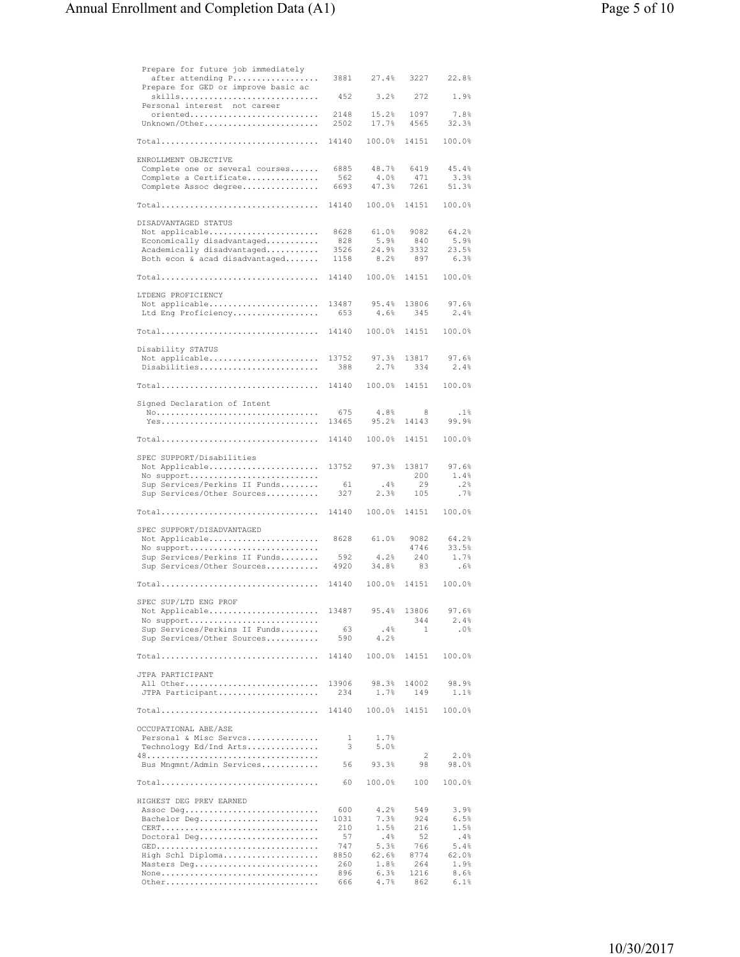| Prepare for future job immediately<br>after attending P<br>Prepare for GED or improve basic ac | 3881         | 27.4%          | 3227         | 22.8%         |
|------------------------------------------------------------------------------------------------|--------------|----------------|--------------|---------------|
| skills<br>Personal interest not career                                                         | 452          | 3.2%           | 272          | 1.9%          |
| oriented<br>Unknown/Other                                                                      | 2148<br>2502 | 15.2%<br>17.7% | 1097<br>4565 | 7.8%<br>32.3% |
| Total                                                                                          | 14140        | 100.0%         | 14151        | 100.0%        |
| ENROLLMENT OBJECTIVE<br>Complete one or several courses                                        | 6885         | 48.7%          | 6419         | 45.4%         |
| Complete a Certificate                                                                         | 562          | 4.0%           | 471          | 3.3%          |
| Complete Assoc degree                                                                          | 6693         | 47.3%          | 7261         | 51.3%         |
| Total                                                                                          | 14140        | 100.0%         | 14151        | 100.0%        |
| DISADVANTAGED STATUS<br>Not applicable                                                         | 8628         | 61.0%          | 9082         | 64.2%         |
| Economically disadvantaged                                                                     | 828          | 5.9%           | 840          | 5.9%          |
| Academically disadvantaged<br>Both econ & acad disadvantaged                                   | 3526<br>1158 | 24.9%<br>8.2%  | 3332<br>897  | 23.5%<br>6.3% |
| Total                                                                                          | 14140        | 100.0%         | 14151        | 100.0%        |
| LTDENG PROFICIENCY<br>Not applicable                                                           | 13487        | 95.4%          | 13806        | 97.6%         |
| Ltd Eng Proficiency                                                                            | 653          | 4.6%           | 345          | 2.4%          |
| Total                                                                                          | 14140        | 100.0%         | 14151        | 100.0%        |
| Disability STATUS                                                                              |              |                |              |               |
| Not applicable<br>Disabilities                                                                 | 13752<br>388 | 97.3%<br>2.7%  | 13817<br>334 | 97.6%<br>2.4% |
| Total                                                                                          | 14140        | 100.0%         | 14151        | 100.0%        |
| Signed Declaration of Intent                                                                   |              |                |              |               |
|                                                                                                | 675<br>13465 | 4.8%<br>95.2%  | 8<br>14143   | .1%<br>99.9%  |
| Total                                                                                          | 14140        | 100.0%         | 14151        | 100.0%        |
| SPEC SUPPORT/Disabilities<br>Not Applicable                                                    | 13752        | 97.3%          | 13817        | 97.6%         |
| No support                                                                                     |              |                | 200          | 1.4%          |
| Sup Services/Perkins II Funds<br>Sup Services/Other Sources                                    | 61<br>327    | .4%<br>2.3%    | 29<br>105    | .2%<br>.7%    |
| Total                                                                                          | 14140        | 100.0%         | 14151        | 100.0%        |
| SPEC SUPPORT/DISADVANTAGED<br>Not Applicable                                                   | 8628         | 61.0%          | 9082         | 64.2%         |
| No support                                                                                     |              |                | 4746         | 33.5%         |
| Sup Services/Perkins II Funds<br>Sup Services/Other Sources                                    | 592<br>4920  | 4.2%<br>34.8%  | 240<br>83    | 1.7%<br>.6%   |
| Total                                                                                          | 14140        | 100.0%         | 14151        | 100.0%        |
| SPEC SUP/LTD ENG PROF                                                                          |              |                |              |               |
| Not Applicable<br>No support                                                                   | 13487        | 95.4%          | 13806<br>344 | 97.6%<br>2.4% |
| Sup Services/Perkins II Funds<br>Sup Services/Other Sources                                    | 63<br>590    | .4%<br>4.2%    | 1            | .0%           |
| $Total \ldots \ldots \ldots \ldots \ldots \ldots \ldots \ldots \ldots \ldots$                  | 14140        | 100.0%         | 14151        | 100.0%        |
| JTPA PARTICIPANT                                                                               |              |                |              |               |
| All Other<br>JTPA Participant                                                                  | 13906<br>234 | 98.3%<br>1.7%  | 14002<br>149 | 98.9%<br>1.1% |
| $Total \ldots \ldots \ldots \ldots \ldots \ldots \ldots \ldots \ldots \ldots$                  | 14140        | 100.0%         | 14151        | 100.0%        |
| OCCUPATIONAL ABE/ASE                                                                           |              |                |              |               |
| Personal & Misc Serves<br>Technology Ed/Ind Arts                                               | 1<br>3       | 1.7%<br>5.0%   |              |               |
|                                                                                                |              |                | 2            | 2.0%          |
| Bus Mngmnt/Admin Services                                                                      | 56           | 93.3%          | 98           | 98.0%         |
| Total                                                                                          | 60           | 100.0%         | 100          | 100.0%        |
| HIGHEST DEG PREV EARNED<br>Assoc Deg                                                           | 600          | 4.2%           | 549          | 3.9%          |
| Bachelor Deg                                                                                   | 1031         | 7.3%           | 924          | 6.5%          |
| Doctoral Deg                                                                                   | 210<br>57    | 1.5%<br>.4%    | 216<br>52    | 1.5%<br>.4%   |
|                                                                                                | 747          | 5.3%           | 766          | 5.4%          |
| High Schl Diploma                                                                              | 8850         | 62.6%          | 8774<br>264  | 62.0%<br>1.9% |
| Masters Deg<br>None                                                                            | 260<br>896   | 1.8%<br>6.3%   | 1216         | 8.6%          |
| Other                                                                                          | 666          | 4.7%           | 862          | 6.1%          |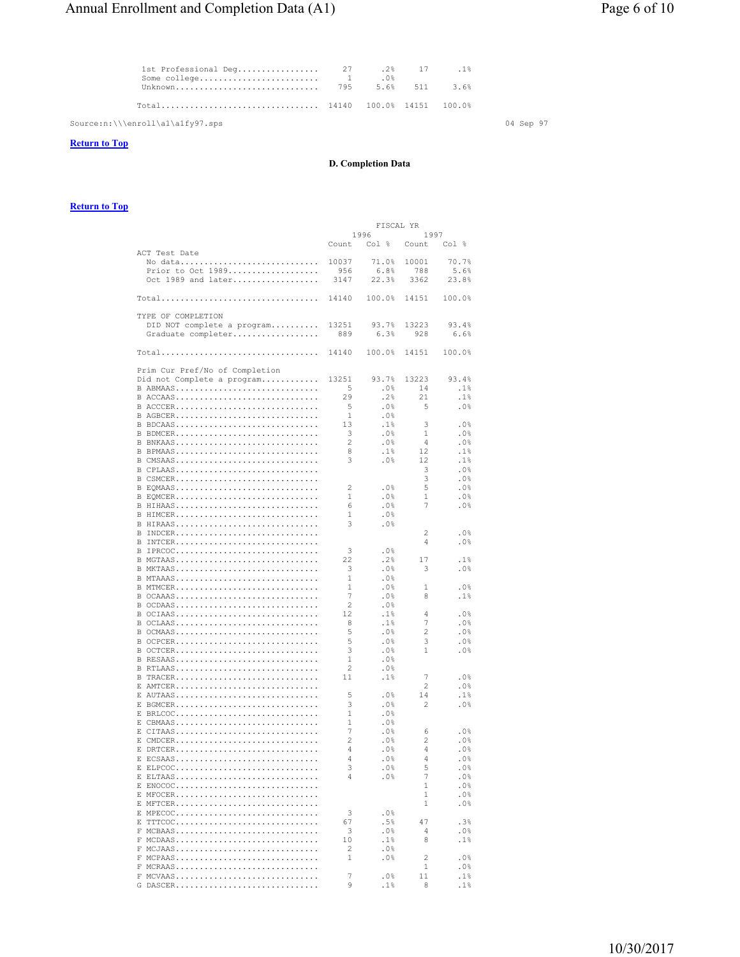| 18. 17 18 1st Professional Deq 27 2% 17 | $.0\%$ |  |  |
|-----------------------------------------|--------|--|--|
|                                         |        |  |  |
|                                         |        |  |  |

 $Source:n:\\\\en{al\al\afy97.sps$  04 Sep 97

## **Return to Top**

## **D. Completion Data**

|                                |                | FISCAL YR |                |               |
|--------------------------------|----------------|-----------|----------------|---------------|
|                                |                | 1996      | 1997           |               |
|                                | Count          | Col %     | Count          | Col %         |
| ACT Test Date                  |                |           |                |               |
| No data                        | 10037          | 71.0%     | 10001          | 70.7%         |
| Prior to Oct 1989              | 956            | 6.8%      | 788            | 5.6%          |
| Oct 1989 and later             | 3147           | 22.3%     | 3362           | 23.8%         |
|                                |                |           |                |               |
| $Total$                        | 14140          | 100.0%    | 14151          | 100.0%        |
|                                |                |           |                |               |
| TYPE OF COMPLETION             |                |           |                |               |
| DID NOT complete a program     | 13251          | 93.7%     | 13223          | 93.4%         |
| Graduate completer             | 889            | 6.3%      | 928            | 6.6%          |
|                                |                |           |                |               |
| Total                          | 14140          | 100.0%    | 14151          | 100.0%        |
|                                |                |           |                |               |
| Prim Cur Pref/No of Completion |                |           |                |               |
| Did not Complete a program     | 13251          | 93.7%     | 13223          | 93.4%         |
| B ABMAAS                       | 5              | .0%       | 14             | .1%           |
| B ACCAAS                       | 29             | .2%       | 21             | .1%           |
| B ACCCER                       | 5              | .0%       | 5              | .0%           |
| B AGBCER                       | $\mathbf{1}$   | .0%       |                |               |
| B BDCAAS                       | 13             | .1%       | 3              | .0%           |
| B BDMCER                       | 3              | .0%       | $\mathbf{1}$   | .0%           |
| B BNKAAS                       | 2              | .0%       | $\overline{4}$ | .0%           |
| B BPMAAS                       | 8              | .1%       | 12             | .1%           |
| B CMSAAS                       |                |           |                |               |
|                                | 3              | .0%       | 12             | .1%           |
| B CPLAAS                       |                |           | 3              | $.0\%$        |
| B CSMCER                       |                |           | 3              | $.0\%$        |
| B EQMAAS                       | 2              | .0%       | 5              | .0%           |
| B EQMCER                       | 1              | .0%       | $\mathbf{1}$   | .0%           |
| B HIHAAS                       | 6              | .0%       | 7              | .0%           |
| B HIMCER                       | 1              | .0%       |                |               |
| B HIRAAS                       | 3              | .0%       |                |               |
| B INDCER                       |                |           | 2              | $.0\%$        |
| B INTCER                       |                |           | $\overline{4}$ | $.0\%$        |
| B IPRCOC                       | 3              | .0%       |                |               |
| B MGTAAS                       | 22             | .2%       | 17             | .1%           |
| B MKTAAS                       | 3              | .0%       | 3              | .0%           |
| B MTAAAS                       | 1              | . $0\%$   |                |               |
| B MTMCER                       | 1              | .0%       | 1              | .0%           |
| B OCAAAS                       | 7              | . $0\%$   | 8              | .1%           |
| B OCDAAS                       | 2              | .0%       |                |               |
| B OCIAAS                       | 12             | .1%       | 4              | .0%           |
| B OCLAAS                       | 8              | .1%       | 7              | .0%           |
| B OCMAAS                       | 5              | . $0\%$   | $\overline{2}$ | .0%           |
| B OCPCER                       | 5              | .0%       | 3              | .0%           |
| B OCTCER                       | 3              | . $0\%$   | $\mathbf{1}$   | .0%           |
| B RESAAS                       | $\mathbf{1}$   | .0%       |                |               |
| B RTLAAS                       | 2              | . $0\%$   |                |               |
| B TRACER                       | 11             | .1%       | 7              | .0%           |
| E AMTCER                       |                |           | 2              | $.0\%$        |
| E AUTAAS                       | 5              | .0%       | 14             | .1%           |
| E BGMCER                       | 3              | .0%       | $\overline{2}$ | .0%           |
| E BRLCOC                       | $\mathbf{1}$   | .0%       |                |               |
| E CBMAAS                       | 1              | .0%       |                |               |
| E CITAAS                       | 7              | .0%       | 6              | .0%           |
| E CMDCER                       | $\overline{c}$ | . $0\%$   | $\overline{2}$ | .0%           |
| E DRTCER                       | 4              | .0%       | $\overline{4}$ | .0%           |
| E ECSAAS                       | 4              | .0%       | 4              | .0%           |
| E ELPCOC                       | 3              | $.0\%$    | 5              | .0%           |
|                                | 4              |           | 7              |               |
| E ELTAAS<br>E ENOCOC           |                | .0%       | $\mathbf{1}$   | .0%<br>$.0\%$ |
|                                |                |           | 1              | .0%           |
| E MFOCER<br>E MFTCER           |                |           | 1              | .0%           |
|                                |                |           |                |               |
| E MPECOC                       | 3              | .0%       |                |               |
| E TTTCOC                       | 67             | .5%       | 47             | .3%           |
| F MCBAAS                       | 3              | .0%       | 4              | .0%           |
| F MCDAAS                       | 10             | .1%       | 8              | .1%           |
| F MCJAAS                       | 2              | .0%       |                |               |
| F MCPAAS                       | 1              | .0%       | 2              | .0%           |
| F MCRAAS                       |                |           | 1              | .0%           |
| F MCVAAS                       | 7              | .0%       | 11             | .1%           |
| G DASCER                       | 9              | .1%       | 8              | .1%           |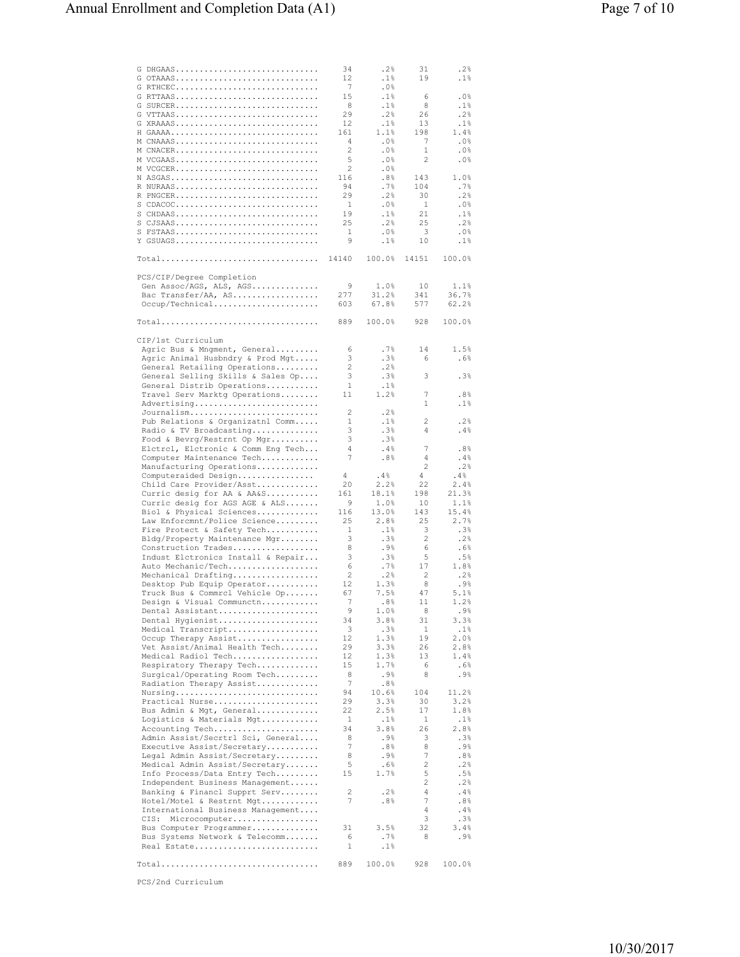| G DHGAAS                                                                      | 34                  | .2%           | 31                  | .2%            |
|-------------------------------------------------------------------------------|---------------------|---------------|---------------------|----------------|
| G OTAAAS                                                                      | 12                  | .1%           | 19                  | .1%            |
| G RTHCEC<br>G RTTAAS                                                          | 7<br>15             | .0%<br>.1%    | 6                   | .0%            |
| G SURCER                                                                      | 8                   | .1%           | 8                   | .1%            |
| G VTTAAS                                                                      | 29                  | .2%           | 26                  | .2%            |
| G XRAAAS                                                                      | 12                  | .1%           | 13                  | .1%            |
| H GAAAA                                                                       | 161                 | 1.1%          | 198                 | 1.4%           |
| M CNAAAS<br>M CNACER                                                          | $\overline{4}$<br>2 | .0%<br>.0%    | 7<br>1              | . $0\%$<br>.0% |
| M VCGAAS                                                                      | 5                   | .0%           | 2                   | . $0\%$        |
| M VCGCER                                                                      | 2                   | . 0%          |                     |                |
| N ASGAS                                                                       | 116                 | .8%           | 143                 | 1.0%           |
| R NURAAS                                                                      | 94                  | .7%           | 104                 | .7%            |
| R PNGCER<br>$S$ CDACOC                                                        | 29<br>1             | .2%<br>. 0%   | 30<br>$\mathbf{1}$  | .2%<br>.0%     |
| $S$ CHDAAS                                                                    | 19                  | .1%           | 21                  | .1%            |
| $S$ CJSAAS                                                                    | 25                  | .2%           | 25                  | .2%            |
| S FSTAAS                                                                      | 1                   | .0%           | 3                   | .0%            |
| Y GSUAGS                                                                      | 9                   | .1%           | 10                  | .1%            |
| $Total \ldots \ldots \ldots \ldots \ldots \ldots \ldots \ldots \ldots \ldots$ | 14140               | 100.0%        | 14151               | 100.0%         |
|                                                                               |                     |               |                     |                |
| PCS/CIP/Degree Completion<br>Gen Assoc/AGS, ALS, AGS                          | 9                   | 1.0%          | 10                  | 1.1%           |
| Bac Transfer/AA, AS                                                           | 277                 | 31.2%         | 341                 | 36.7%          |
| Occup/Technical                                                               | 603                 | 67.8%         | 577                 | 62.2%          |
|                                                                               |                     |               |                     |                |
| Total                                                                         | 889                 | 100.0%        | 928                 | 100.0%         |
| CIP/1st Curriculum                                                            |                     |               |                     |                |
| Agric Bus & Mngment, General                                                  | 6                   | . 7%          | 14                  | 1.5%           |
| Agric Animal Husbndry & Prod Mgt                                              | 3<br>$\overline{c}$ | .3%           | 6                   | .6%            |
| General Retailing Operations<br>General Selling Skills & Sales Op             | 3                   | .2%<br>.3%    | 3                   | .3%            |
| General Distrib Operations                                                    | 1                   | .1%           |                     |                |
| Travel Serv Marktg Operations                                                 | 11                  | 1.2%          | 7                   | .8%            |
| Advertising                                                                   |                     |               | 1                   | .1%            |
| Journalism                                                                    | 2                   | .2%           |                     |                |
| Pub Relations & Organizatnl Comm<br>Radio & TV Broadcasting                   | 1<br>3              | .1%<br>.3%    | 2<br>4              | .2%<br>.4%     |
| Food & Bevrg/Restrnt Op Mgr                                                   | 3                   | .3%           |                     |                |
| Elctrcl, Elctronic & Comm Eng Tech                                            | $\overline{4}$      | .4%           | 7                   | .8%            |
| Computer Maintenance Tech                                                     | 7                   | .8%           | 4                   | .4%            |
| Manufacturing Operations                                                      |                     |               | $\overline{2}$      | .2%            |
| Computeraided Design<br>Child Care Provider/Asst                              | 4<br>20             | .4%<br>2.2%   | 4<br>22             | .4%<br>2.4%    |
| Curric desig for AA & AA&S                                                    | 161                 | 18.1%         | 198                 | 21.3%          |
| Curric desig for AGS AGE & ALS                                                | 9                   | 1.0%          | 10                  | 1.1%           |
| Biol & Physical Sciences                                                      | 116                 | 13.0%         | 143                 | 15.4%          |
| Law Enforcmnt/Police Science                                                  | 25                  | 2.8%          | 25                  | 2.7%           |
| Fire Protect & Safety Tech<br>Bldg/Property Maintenance Mgr                   | $\mathbf{1}$<br>3   | .1%<br>.3%    | 3<br>$\overline{2}$ | .3%<br>.2%     |
| Construction Trades                                                           | 8                   | .9%           | 6                   | .6%            |
| Indust Elctronics Install & Repair                                            | 3                   | .3%           | 5                   | .5%            |
| Auto Mechanic/Tech                                                            | 6                   | .7%           | 17                  | 1.8%           |
| Mechanical Drafting                                                           | 2<br>12             | .2%           | 2<br>8              | $.2$ %         |
| Desktop Pub Equip Operator<br>Truck Bus & Commrcl Vehicle Op                  | 67                  | 1.3%<br>7.5%  | 47                  | .9%<br>5.1%    |
| Design & Visual Communctn                                                     | -1                  | . రశ          | 11                  | 1.2%           |
| Dental Assistant                                                              | 9                   | 1.0%          | 8                   | .9%            |
| Dental Hygienist                                                              | 34                  | 3.8%          | 31                  | 3.3%           |
| Medical Transcript<br>Occup Therapy Assist                                    | 3<br>12             | .3%<br>1.3%   | $\mathbf{1}$<br>19  | .1%<br>2.0%    |
| Vet Assist/Animal Health Tech                                                 | 29                  | 3.3%          | 26                  | 2.8%           |
| Medical Radiol Tech                                                           | 12                  | 1.3%          | 13                  | 1.4%           |
| Respiratory Therapy Tech                                                      | 15                  | 1.7%          | 6                   | .6%            |
| Surgical/Operating Room Tech                                                  | 8                   | .9%           | 8                   | .9%            |
| Radiation Therapy Assist<br>Nursing                                           | 7<br>94             | .8%<br>10.6%  | 104                 | 11.2%          |
| Practical Nurse                                                               | 29                  | 3.3%          | 30                  | 3.2%           |
| Bus Admin & Mgt, General                                                      | 22                  | 2.5%          | 17                  | 1.8%           |
| Logistics & Materials Mgt                                                     | 1                   | .1%           | 1                   | .1%            |
| Accounting Tech                                                               | 34<br>8             | 3.8%          | 26<br>3             | 2.8%           |
| Admin Assist/Secrtrl Sci, General<br>Executive Assist/Secretary               | 7                   | .9%<br>.8%    | 8                   | .3%<br>.9%     |
| Legal Admin Assist/Secretary                                                  | 8                   | . 9%          | 7                   | .8%            |
| Medical Admin Assist/Secretary                                                | 5                   | .6%           | $\overline{2}$      | .2%            |
| Info Process/Data Entry Tech                                                  | 15                  | 1.7%          | 5                   | .5%            |
| Independent Business Management                                               | 2                   | .2%           | 2<br>4              | .2%            |
| Banking & Financl Supprt Serv<br>Hotel/Motel & Restrnt Mgt                    | 7                   | .8%           | $\boldsymbol{7}$    | .4%<br>$.8\%$  |
| International Business Management                                             |                     |               | $\sqrt{4}$          | .4%            |
| CIS:<br>Microcomputer                                                         |                     |               | 3                   | $.3\%$         |
| Bus Computer Programmer                                                       | 31                  | 3.5%          | 32                  | 3.4%           |
| Bus Systems Network & Telecomm<br>Real Estate                                 | 6<br>1              | .7%<br>$.1\%$ | 8                   | .9%            |
|                                                                               |                     |               |                     |                |
| Total                                                                         | 889                 | 100.0%        | 928                 | 100.0%         |
|                                                                               |                     |               |                     |                |

PCS/2nd Curriculum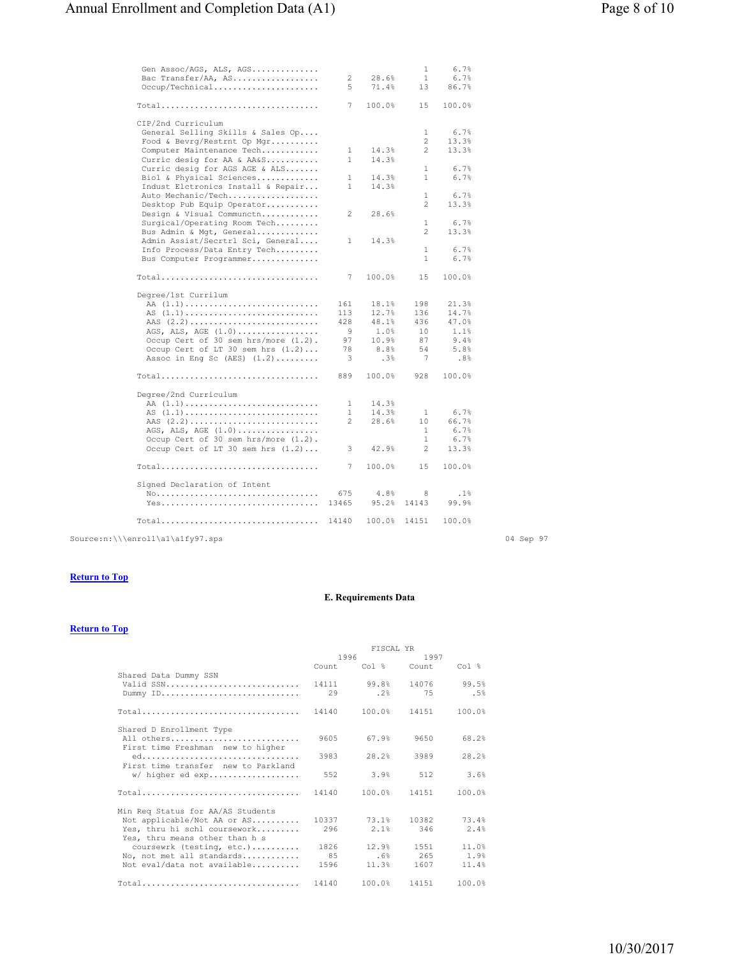| Gen Assoc/AGS, ALS, AGS<br>Bac Transfer/AA, AS<br>Occup/Technical                                                                                                            | 2<br>5                                    | 28.6%<br>71.4%                                          | $\mathbf{1}$<br>$\mathbf{1}$<br>13               | 6.7%<br>6.7%<br>86.7%                                  |  |
|------------------------------------------------------------------------------------------------------------------------------------------------------------------------------|-------------------------------------------|---------------------------------------------------------|--------------------------------------------------|--------------------------------------------------------|--|
| $Total$                                                                                                                                                                      | 7                                         | 100.0%                                                  | 15                                               | 100.0%                                                 |  |
| CIP/2nd Curriculum<br>General Selling Skills & Sales Op<br>Food & Bevrg/Restrnt Op Mgr                                                                                       | $\mathbf{1}$                              | 14.3%                                                   | $\mathbf{1}$<br>$\overline{c}$<br>$\overline{c}$ | 6.7%<br>13.3%<br>13.3%                                 |  |
| Computer Maintenance Tech<br>Curric desig for AA & AA&S<br>Curric desig for AGS AGE & ALS                                                                                    | 1                                         | 14.3%                                                   | $\mathbf{1}$                                     | 6.7%                                                   |  |
| Biol & Physical Sciences<br>Indust Elctronics Install & Repair                                                                                                               | $\mathbf{1}$<br>1                         | 14.3%<br>14.3%                                          | $\mathbf{1}$                                     | 6.7%                                                   |  |
| Auto Mechanic/Tech<br>Desktop Pub Equip Operator                                                                                                                             |                                           |                                                         | $\mathbf{1}$<br>$\overline{c}$                   | 6.7%<br>13.3%                                          |  |
| Design & Visual Communctn<br>Surgical/Operating Room Tech                                                                                                                    | $\overline{c}$                            | 28.6%                                                   | $\mathbf{1}$                                     | 6.7%                                                   |  |
| Bus Admin & Mgt, General<br>Admin Assist/Secrtrl Sci, General                                                                                                                | $\mathbf{1}$                              | 14.3%                                                   | 2                                                | 13.3%                                                  |  |
| Info Process/Data Entry Tech<br>Bus Computer Programmer                                                                                                                      |                                           |                                                         | 1.<br>1.                                         | 6.7%<br>6.7%                                           |  |
| Total                                                                                                                                                                        | 7                                         | 100.0%                                                  | 15                                               | 100.0%                                                 |  |
| Degree/1st Currilum<br>AS $(1.1)$<br>AGS, ALS, AGE $(1.0)$<br>Occup Cert of 30 sem hrs/more (1.2).<br>Occup Cert of LT 30 sem hrs $(1.2)$<br>Assoc in Eng Sc $(AES)$ $(1.2)$ | 161<br>113<br>428<br>- 9<br>97<br>78<br>3 | 18.1%<br>12.7%<br>48.1%<br>1.0%<br>10.9%<br>8.8%<br>.3% | 198<br>136<br>436<br>10<br>87<br>54<br>7         | 21.3%<br>14.7%<br>47.0%<br>1.1%<br>9.4%<br>5.8%<br>.8% |  |
| $Total \ldots \ldots \ldots \ldots \ldots \ldots \ldots \ldots \ldots \ldots$                                                                                                | 889                                       | 100.0%                                                  | 928                                              | 100.0%                                                 |  |
| Degree/2nd Curriculum<br>AA $(1.1)$<br>AS $(1,1)$<br>AAS (2.2)<br>AGS, ALS, AGE $(1.0)$<br>Occup Cert of 30 sem hrs/more (1.2).<br>Occup Cert of LT 30 sem hrs (1.2)         | 1<br>$\mathbf{1}$<br>$\mathfrak{D}$<br>3  | 14.3%<br>14.3%<br>28.6%<br>42.9%                        | 1<br>10<br>1<br>$\mathbf{1}$<br>2                | 6.7%<br>66.7%<br>6.7%<br>6.7%<br>13.3%                 |  |
| Total                                                                                                                                                                        | 7                                         | 100.0%                                                  | 15                                               | 100.0%                                                 |  |
| Signed Declaration of Intent<br>Yes                                                                                                                                          | 675<br>13465                              | 4.8%<br>95.2%                                           | 8<br>14143                                       | .1%<br>99.9%                                           |  |
| $Total \ldots \ldots \ldots \ldots \ldots \ldots \ldots \ldots \ldots \ldots$                                                                                                | 14140                                     | 100.0%                                                  | 14151                                            | 100.0%                                                 |  |

 $\texttt{Source-in:\\\\enroll\{a1\q1\q27.\,sps}\text{\hspace{0.5cm}} \textbf{04 \hspace{0.5cm} \text{Sep 97}}$ 

### **Return to Top**

# **E. Requirements Data**

|                                     | FISCAL YR    |                         |              |                  |
|-------------------------------------|--------------|-------------------------|--------------|------------------|
|                                     | 1996<br>1997 |                         |              |                  |
|                                     |              | Count Col % Count       |              | Col <sub>s</sub> |
| Shared Data Dummy SSN               |              |                         |              |                  |
| Valid SSN                           |              | 14111 99.8% 14076 99.5% |              |                  |
| Dummy ID                            |              | 29.28                   |              | 75 .5%           |
|                                     |              |                         |              |                  |
| $Total$                             |              | 14140 100.0% 14151      |              | 100.0%           |
|                                     |              |                         |              |                  |
| Shared D Enrollment Type            |              |                         |              |                  |
| All others                          |              | 9605 67.9% 9650         |              | 68.2%            |
| First time Freshman new to higher   |              |                         |              |                  |
|                                     |              | 28.2%                   | 3989         | 28.2%            |
| First time transfer new to Parkland |              |                         |              |                  |
| w/ higher ed exp                    |              |                         | $3.9%$ 512   | 3.6%             |
|                                     |              |                         |              |                  |
| Total                               | 14140        |                         | 100.0% 14151 | 100.0%           |
|                                     |              |                         |              |                  |
| Min Req Status for AA/AS Students   |              |                         |              |                  |
| Not applicable/Not AA or AS         |              | 10337 73.1% 10382       |              | 73.4%            |
| Yes, thru hi schl coursework        |              | 296 2.1% 346            |              | 2.4%             |
| Yes, thru means other than h s      |              |                         |              |                  |
| coursewrk (testing, etc.)           |              | 1826 12.9% 1551         |              | 11.0%            |
| No, not met all standards           |              | 85 6% 265 1.9%          |              |                  |
| Not eval/data not available         | 1596         | 11.3%                   | 1607 - 160   | 11.4%            |
|                                     |              | 14140 100.0% 14151      |              | 100.0%           |
| Total                               |              |                         |              |                  |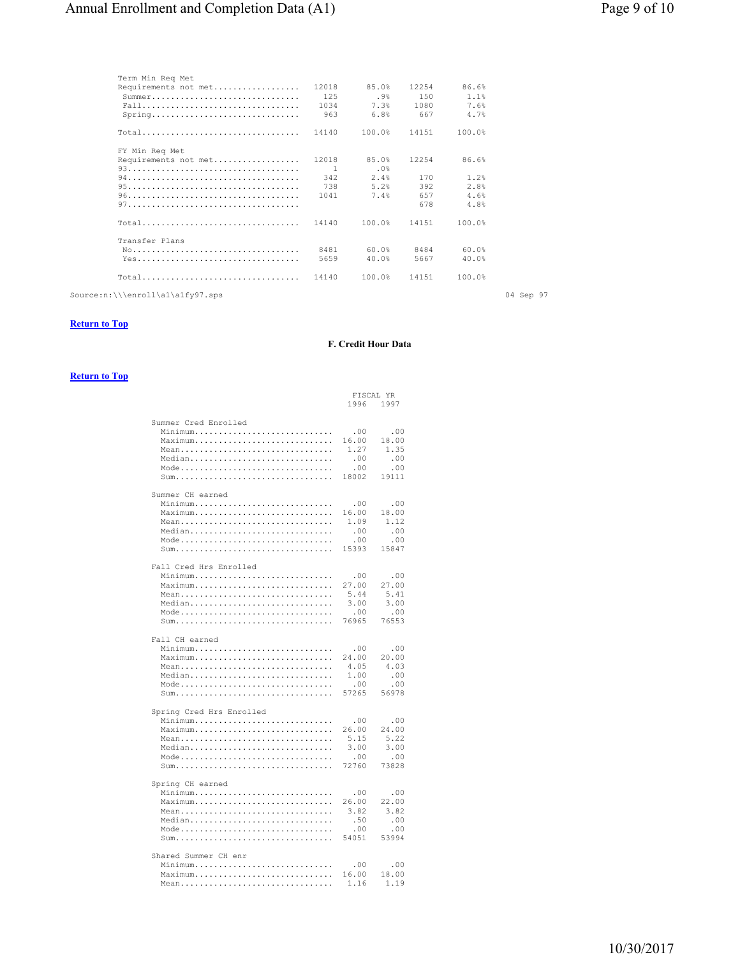| Term Min Reg Met                                                                 |                |        |       |        |           |
|----------------------------------------------------------------------------------|----------------|--------|-------|--------|-----------|
| Requirements not met                                                             | 12018          | 85.0%  | 12254 | 86.6%  |           |
| $Summer \dots \dots \dots \dots \dots \dots \dots \dots \dots \dots \dots \dots$ | 125            | .9%    | 150   | 1.1%   |           |
| Fall                                                                             | 1034           | 7.3%   | 1080  | 7.6%   |           |
| $Spring \ldots \ldots \ldots \ldots \ldots \ldots \ldots$                        | 963            | 6.8%   | 667   | 4.7%   |           |
| $Total$                                                                          | 14140          | 100.0% | 14151 | 100.0% |           |
| FY Min Reg Met                                                                   |                |        |       |        |           |
| Requirements not met                                                             | 12018          | 85.0%  | 12254 | 86.6%  |           |
|                                                                                  | $\overline{1}$ | .0%    |       |        |           |
|                                                                                  | 342            | 2.4%   | 170   | 1.2%   |           |
|                                                                                  | 738            | 5.2%   | 392   | 2.8%   |           |
|                                                                                  | 1041           | 7.4%   | 657   | 4.6%   |           |
|                                                                                  |                |        | 678   | 4.8%   |           |
| Total                                                                            | 14140          | 100.0% | 14151 | 100.0% |           |
| Transfer Plans                                                                   |                |        |       |        |           |
|                                                                                  | 8481           | 60.0%  | 8484  | 60.0%  |           |
| Yes                                                                              | 5659           | 40.0%  | 5667  | 40.0%  |           |
| Total                                                                            | 14140          | 100.0% | 14151 | 100.0% |           |
| Source:n:\\\enroll\al\a1fy97.sps                                                 |                |        |       |        | 04 Sep 97 |
|                                                                                  |                |        |       |        |           |

# **Return to Top**

#### **F. Credit Hour Data**

|                                 | FISCAL YR |       |
|---------------------------------|-----------|-------|
|                                 | 1996      | 1997  |
|                                 |           |       |
| Summer Cred Enrolled            |           |       |
|                                 | .00       | .00   |
| Maximum                         | 16.00     | 18.00 |
| Mean                            | 1.27      | 1.35  |
| Median                          | .00       | .00   |
| Mode                            | .00       | .00   |
|                                 | 18002     | 19111 |
|                                 |           |       |
| Summer CH earned                |           |       |
| Minimum                         | .00       | .00   |
| Maximum                         | 16.00     | 18.00 |
| Mean                            | 1.09      | 1.12  |
| Median                          | .00       | .00   |
| Mode                            | .00       | .00   |
|                                 | 15393     | 15847 |
|                                 |           |       |
| Fall Cred Hrs Enrolled          |           |       |
| Minimum                         | .00       | .00   |
| Maximum                         | 27.00     | 27.00 |
|                                 | 5.44      | 5.41  |
| Mean<br>Median                  | 3.00      | 3.00  |
|                                 | .00       | .00   |
| Mode                            | 76965     | 76553 |
|                                 |           |       |
| Fall CH earned                  |           |       |
| Minimum                         | .00       | .00   |
| Maximum                         | 24.00     | 20.00 |
| Mean                            | 4.05      | 4.03  |
| Median                          | 1.00      | .00   |
| Mode                            | .00       | .00   |
|                                 | 57265     | 56978 |
| Sum                             |           |       |
| Spring Cred Hrs Enrolled        |           |       |
| Minimum                         | .00       | .00   |
| Maximum                         | 26.00     | 24.00 |
| Mean                            | 5.15      | 5.22  |
| Median                          | 3.00      | 3.00  |
| Mode                            | .00       | .00   |
|                                 | 72760     | 73828 |
|                                 |           |       |
| Spring CH earned                |           |       |
| Minimum                         | .00       | .00   |
| Maximum                         | 26.00     | 22.00 |
| Mean                            | 3.82      | 3.82  |
| Median                          | .50       | .00   |
| Mode                            | .00       | .00   |
|                                 | 54051     | 53994 |
|                                 |           |       |
| Shared Summer CH enr            |           |       |
| Minimum                         | .00       | .00   |
| Maximum<br>$\mathbf{1}$         | 16.00     | 18.00 |
| Mean<br>$\sim$ $\sim$<br>$\sim$ | 1.16      | 1.19  |